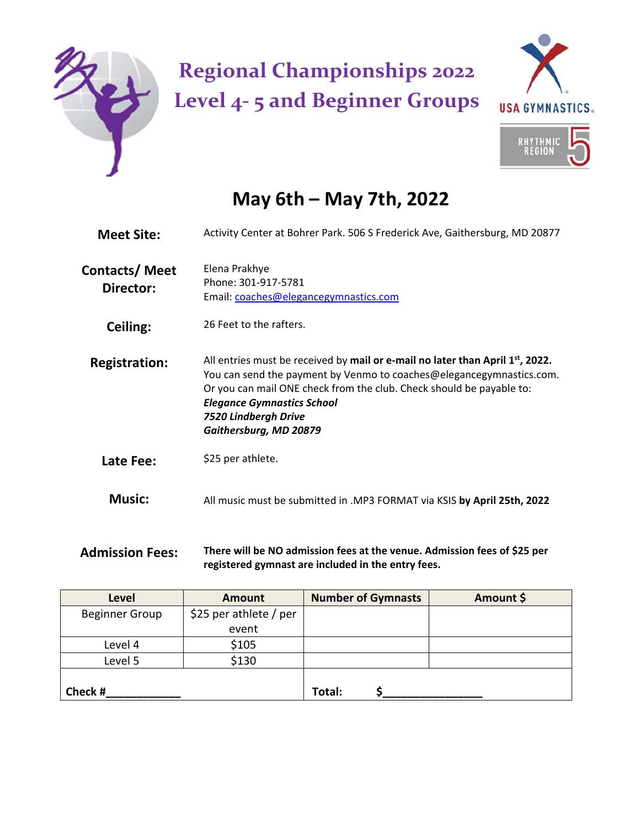

## **Regional Championships 2022 Level 4‐ 5 and Beginner Groups**



## **May 6th – May 7th, 2022**

| <b>Meet Site:</b>                 | Activity Center at Bohrer Park. 506 S Frederick Ave, Gaithersburg, MD 20877                                                                                                                                                                                                                                             |  |  |  |  |
|-----------------------------------|-------------------------------------------------------------------------------------------------------------------------------------------------------------------------------------------------------------------------------------------------------------------------------------------------------------------------|--|--|--|--|
| <b>Contacts/Meet</b><br>Director: | Elena Prakhye<br>Phone: 301-917-5781<br>Email: coaches@elegancegymnastics.com                                                                                                                                                                                                                                           |  |  |  |  |
| Ceiling:                          | 26 Feet to the rafters.                                                                                                                                                                                                                                                                                                 |  |  |  |  |
| <b>Registration:</b>              | All entries must be received by mail or e-mail no later than April $1st$ , 2022.<br>You can send the payment by Venmo to coaches@elegancegymnastics.com.<br>Or you can mail ONE check from the club. Check should be payable to:<br><b>Elegance Gymnastics School</b><br>7520 Lindbergh Drive<br>Gaithersburg, MD 20879 |  |  |  |  |
| Late Fee:                         | \$25 per athlete.                                                                                                                                                                                                                                                                                                       |  |  |  |  |
| <b>Music:</b>                     | All music must be submitted in .MP3 FORMAT via KSIS by April 25th, 2022                                                                                                                                                                                                                                                 |  |  |  |  |

## **Admission Fees: There will be NO admission fees at the venue. Admission fees of \$25 per registered gymnast are included in the entry fees.**

| <b>Level</b>          | <b>Amount</b>          | <b>Number of Gymnasts</b> | Amount \$ |
|-----------------------|------------------------|---------------------------|-----------|
| <b>Beginner Group</b> | \$25 per athlete / per |                           |           |
|                       | event                  |                           |           |
| Level 4               | \$105                  |                           |           |
| Level 5               | \$130                  |                           |           |
|                       |                        |                           |           |
| Check #               |                        | Total:                    |           |